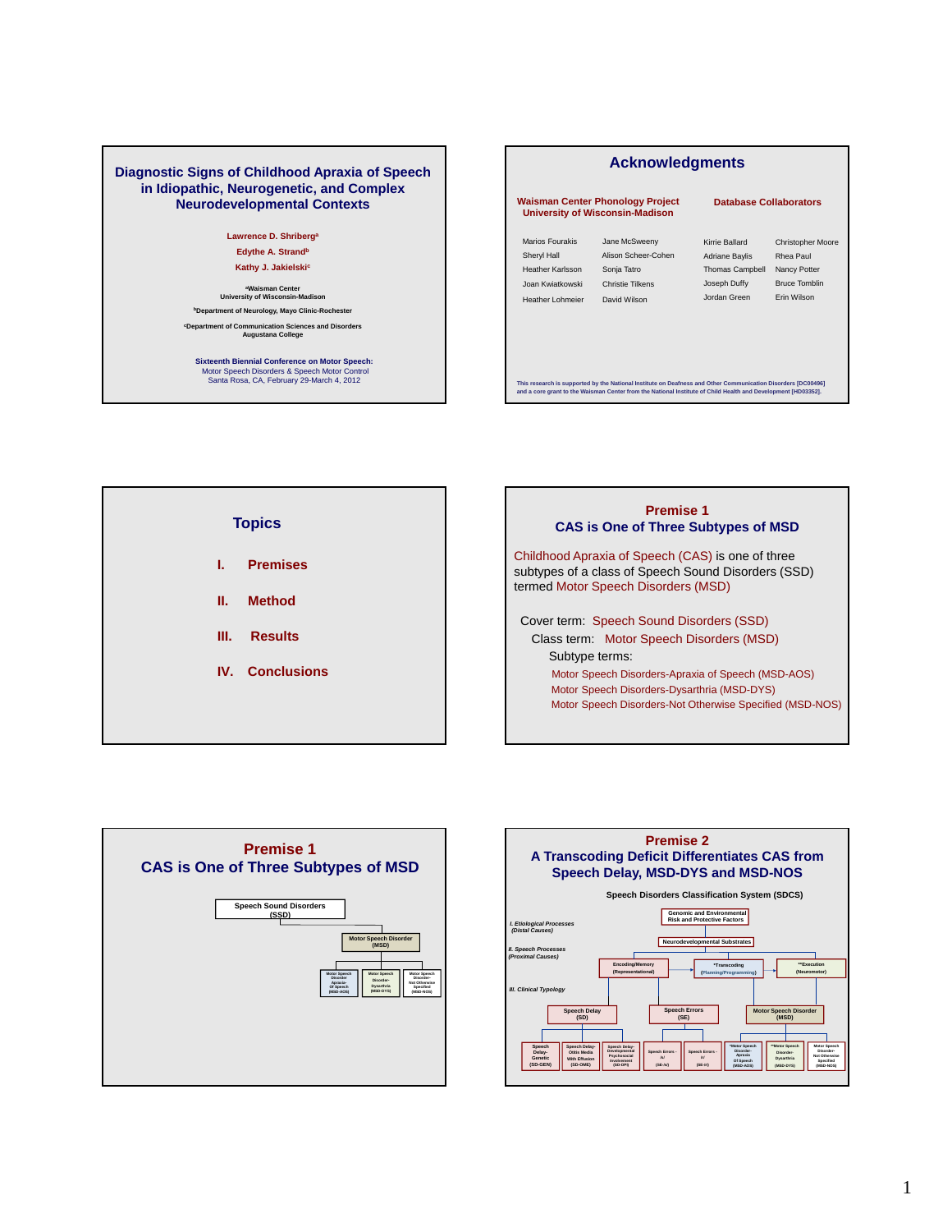### **Diagnostic Signs of Childhood Apraxia of Speech in Idiopathic, Neurogenetic, and Complex Neurodevelopmental Contexts**

**Lawrence D. Shriberga Edythe A. Strandb** 

**Kathy J. Jakielskic**

**aWaisman Center University of Wisconsin-Madison b**Department of Neurology, Mayo Clinic-Rocheste

**cDepartment of Communication Sciences and Disorders Augustana College**

**Sixteenth Biennial Conference on Motor Speech:** Motor Speech Disorders & Speech Motor Control Santa Rosa, CA, February 29-March 4, 2012

| <b>Acknowledgments</b>                                                                     |                                                                                                                                                                                                                               |                                                                                                   |                                                                                              |  |  |  |  |
|--------------------------------------------------------------------------------------------|-------------------------------------------------------------------------------------------------------------------------------------------------------------------------------------------------------------------------------|---------------------------------------------------------------------------------------------------|----------------------------------------------------------------------------------------------|--|--|--|--|
|                                                                                            | <b>Waisman Center Phonology Project</b><br><b>University of Wisconsin-Madison</b>                                                                                                                                             | <b>Database Collaborators</b>                                                                     |                                                                                              |  |  |  |  |
| Marios Fourakis<br>Sheryl Hall<br>Heather Karlsson<br>Joan Kwiatkowski<br>Heather Lohmeier | Jane McSweenv<br>Alison Scheer-Cohen<br>Sonja Tatro<br>Christie Tilkens<br>David Wilson                                                                                                                                       | Kirrie Ballard<br><b>Adriane Baylis</b><br><b>Thomas Campbell</b><br>Joseph Duffy<br>Jordan Green | <b>Christopher Moore</b><br>Rhea Paul<br>Nancy Potter<br><b>Bruce Tomblin</b><br>Frin Wilson |  |  |  |  |
|                                                                                            | This research is supported by the National Institute on Deafness and Other Communication Disorders [DC00496]<br>and a core grant to the Waisman Center from the National Institute of Child Health and Development [HD03352]. |                                                                                                   |                                                                                              |  |  |  |  |







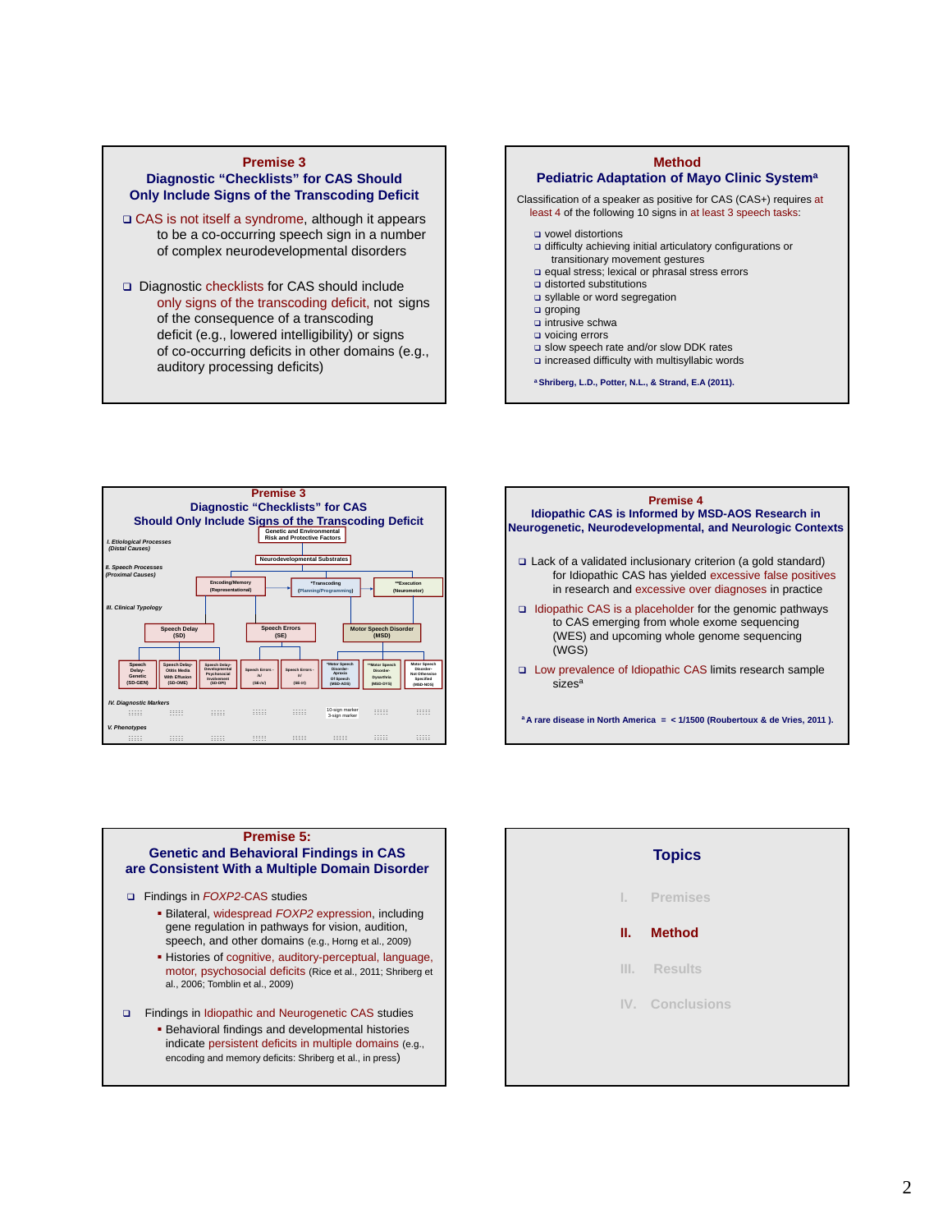#### **Premise 3 Diagnostic "Checklists" for CAS Should Only Include Signs of the Transcoding Deficit**

- CAS is not itself a syndrome, although it appears to be a co-occurring speech sign in a number of complex neurodevelopmental disorders
- □ Diagnostic checklists for CAS should include only signs of the transcoding deficit, not signs of the consequence of a transcoding deficit (e.g., lowered intelligibility) or signs of co-occurring deficits in other domains (e.g., auditory processing deficits)







### **Premise 5:**

### **Genetic and Behavioral Findings in CAS are Consistent With a Multiple Domain Disorder**

#### Findings in *FOXP2-*CAS studies

- Bilateral, widespread *FOXP2* expression, including gene regulation in pathways for vision, audition, speech, and other domains (e.g., Horng et al., 2009)
- Histories of cognitive, auditory-perceptual, language, motor, psychosocial deficits (Rice et al., 2011; Shriberg et al., 2006; Tomblin et al., 2009)
- Findings in Idiopathic and Neurogenetic CAS studies
	- **Behavioral findings and developmental histories** indicate persistent deficits in multiple domains (e.g., encoding and memory deficits: Shriberg et al., in press)

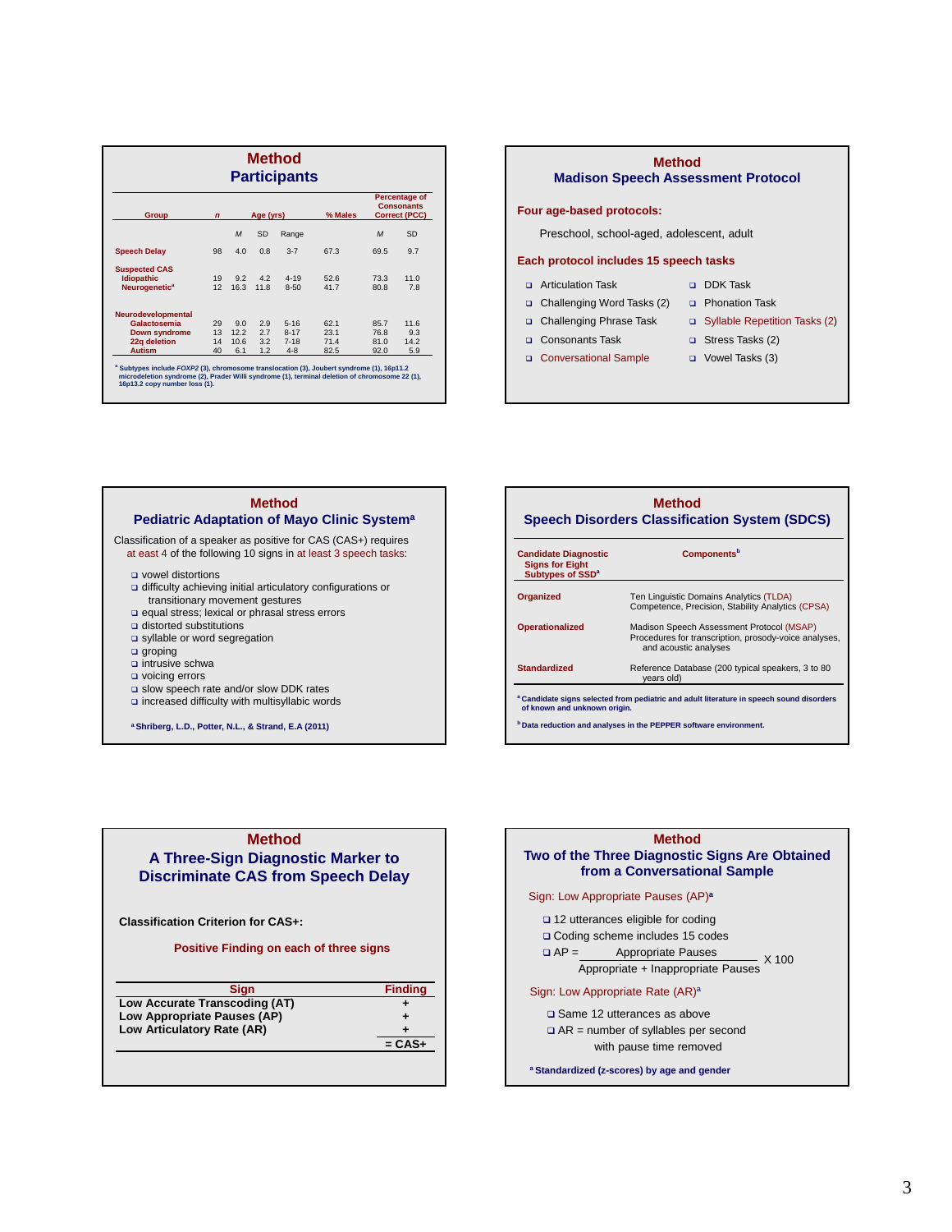| <b>Method</b><br><b>Participants</b> |                          |      |           |          |                                                            |                |      |
|--------------------------------------|--------------------------|------|-----------|----------|------------------------------------------------------------|----------------|------|
| <b>Group</b>                         | Age (yrs)<br>$\mathbf n$ |      |           | % Males  | <b>Percentage of</b><br><b>Consonants</b><br>Correct (PCC) |                |      |
|                                      |                          | M    | <b>SD</b> | Range    |                                                            | $\overline{M}$ | SD   |
| <b>Speech Delay</b>                  | 98                       | 4.0  | 0.8       | $3 - 7$  | 67.3                                                       | 69.5           | 9.7  |
| <b>Suspected CAS</b>                 |                          |      |           |          |                                                            |                |      |
| <b>Idiopathic</b>                    | 19                       | 9.2  | 4.2       | $4 - 19$ | 52.6                                                       | 73.3           | 11.0 |
| Neurogenetic <sup>a</sup>            | 12                       | 16.3 | 11.8      | $8 - 50$ | 41.7                                                       | 80.8           | 7.8  |
| Neurodevelopmental                   |                          |      |           |          |                                                            |                |      |
| Galactosemia                         | 29                       | 9.0  | 2.9       | $5 - 16$ | 62.1                                                       | 85.7           | 11.6 |
| Down syndrome                        | 13                       | 12.2 | 2.7       | $8 - 17$ | 23.1                                                       | 76.8           | 9.3  |
| 22q deletion                         | 14                       | 10.6 | 3.2       | $7 - 18$ | 71.4                                                       | 81.0           | 14.2 |
| <b>Autism</b>                        | 40                       | 6.1  | 1.2       | $4 - 8$  | 82.5                                                       | 92.0           | 5.9  |



| <b>Method</b><br>Pediatric Adaptation of Mayo Clinic System <sup>a</sup>                                                           | Sı        |
|------------------------------------------------------------------------------------------------------------------------------------|-----------|
| Classification of a speaker as positive for CAS (CAS+) requires<br>at east 4 of the following 10 signs in at least 3 speech tasks: | Can       |
| $\Box$ vowel distortions<br>$\Box$ difficulty achieving initial articulatory configurations or                                     | Siç<br>Su |
| transitionary movement gestures<br>p equal stress; lexical or phrasal stress errors                                                | Orga      |
| n dietorted cubetitutione                                                                                                          |           |

- $\Box$  distorted
- syllable or word segregation
- **Q** groping
- $\Box$  intrusive schwa
- voicing errors
- slow speech rate and/or slow DDK rates
- $\square$  increased difficulty with multisyllabic words

**a Shriberg, L.D., Potter, N.L., & Strand, E.A (2011)** 



# **Method A Three-Sign Diagnostic Marker to Discriminate CAS from Speech Delay**

**Classification Criterion for CAS+:** 

 **Positive Finding on each of three signs** 

| <b>Finding</b> |
|----------------|
|                |
|                |
|                |
| $= CAS+$       |
|                |
|                |

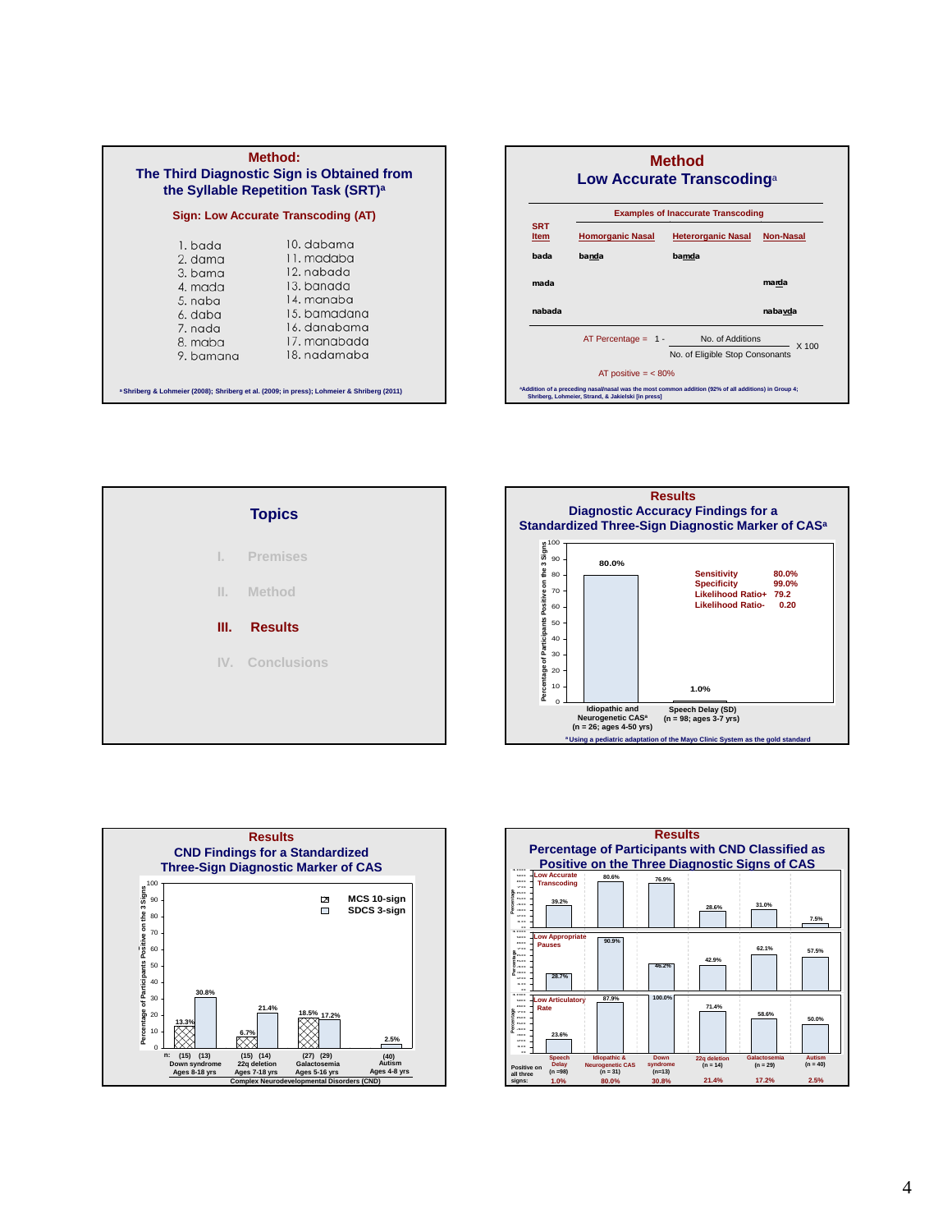| <b>Method:</b><br>The Third Diagnostic Sign is Obtained from<br>the Syllable Repetition Task (SRT) <sup>a</sup>                                                                                                                         |  |  |  |  |  |  |
|-----------------------------------------------------------------------------------------------------------------------------------------------------------------------------------------------------------------------------------------|--|--|--|--|--|--|
| Sign: Low Accurate Transcoding (AT)                                                                                                                                                                                                     |  |  |  |  |  |  |
| 10. dabama<br>1. bada<br>11. madaba<br>2. dama<br>12. nabada<br>3. bama<br>13. banada<br>4. mada<br>14. manaba<br>5. naba<br>15. bamadana<br>6. daba<br>16. danabama<br>7. nada<br>17. manabada<br>8. maba<br>18. nadamaba<br>9. bamana |  |  |  |  |  |  |
| <sup>a</sup> Shriberg & Lohmeier (2008); Shriberg et al. (2009; in press); Lohmeier & Shriberg (2011)                                                                                                                                   |  |  |  |  |  |  |